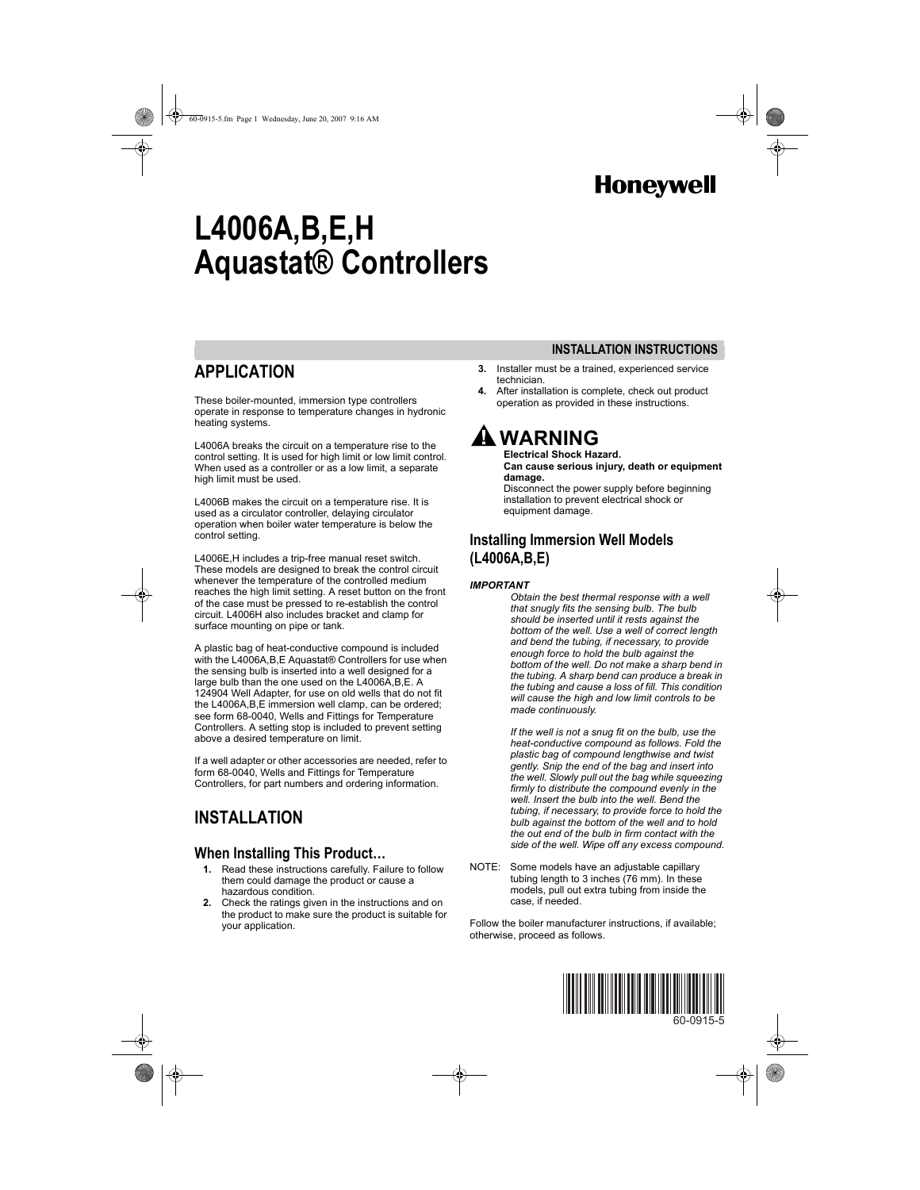# **Honeywell**

# **L4006A,B,E,H Aquastat® Controllers**

### **APPLICATION**

These boiler-mounted, immersion type controllers operate in response to temperature changes in hydronic heating systems.

L4006A breaks the circuit on a temperature rise to the control setting. It is used for high limit or low limit control. When used as a controller or as a low limit, a separate high limit must be used.

L4006B makes the circuit on a temperature rise. It is used as a circulator controller, delaying circulator operation when boiler water temperature is below the control setting.

L4006E,H includes a trip-free manual reset switch. These models are designed to break the control circuit whenever the temperature of the controlled medium reaches the high limit setting. A reset button on the front of the case must be pressed to re-establish the control circuit. L4006H also includes bracket and clamp for surface mounting on pipe or tank.

A plastic bag of heat-conductive compound is included with the L4006A,B,E Aquastat® Controllers for use when the sensing bulb is inserted into a well designed for a large bulb than the one used on the L4006A,B,E. A 124904 Well Adapter, for use on old wells that do not fit the L4006A,B,E immersion well clamp, can be ordered; see form 68-0040, Wells and Fittings for Temperature Controllers. A setting stop is included to prevent setting above a desired temperature on limit.

If a well adapter or other accessories are needed, refer to form 68-0040, Wells and Fittings for Temperature Controllers, for part numbers and ordering information.

### **INSTALLATION**

#### **When Installing This Product…**

- **1.** Read these instructions carefully. Failure to follow them could damage the product or cause a hazardous condition.
- **2.** Check the ratings given in the instructions and on the product to make sure the product is suitable for your application.

**3.** Installer must be a trained, experienced service technician.

**INSTALLATION INSTRUCTIONS**

**4.** After installation is complete, check out product operation as provided in these instructions.

# **WARNING**

**Electrical Shock Hazard. Can cause serious injury, death or equipment damage.**

Disconnect the power supply before beginning installation to prevent electrical shock or equipment damage.

#### **Installing Immersion Well Models (L4006A,B,E)**

#### *IMPORTANT*

*Obtain the best thermal response with a well that snugly fits the sensing bulb. The bulb should be inserted until it rests against the bottom of the well. Use a well of correct length and bend the tubing, if necessary, to provide enough force to hold the bulb against the bottom of the well. Do not make a sharp bend in the tubing. A sharp bend can produce a break in the tubing and cause a loss of fill. This condition will cause the high and low limit controls to be made continuously.*

*If the well is not a snug fit on the bulb, use the heat-conductive compound as follows. Fold the plastic bag of compound lengthwise and twist gently. Snip the end of the bag and insert into the well. Slowly pull out the bag while squeezing firmly to distribute the compound evenly in the well. Insert the bulb into the well. Bend the tubing, if necessary, to provide force to hold the bulb against the bottom of the well and to hold the out end of the bulb in firm contact with the side of the well. Wipe off any excess compound.*

NOTE: Some models have an adjustable capillary tubing length to 3 inches (76 mm). In these models, pull out extra tubing from inside the case, if needed.

Follow the boiler manufacturer instructions, if available; otherwise, proceed as follows.



60-0915-5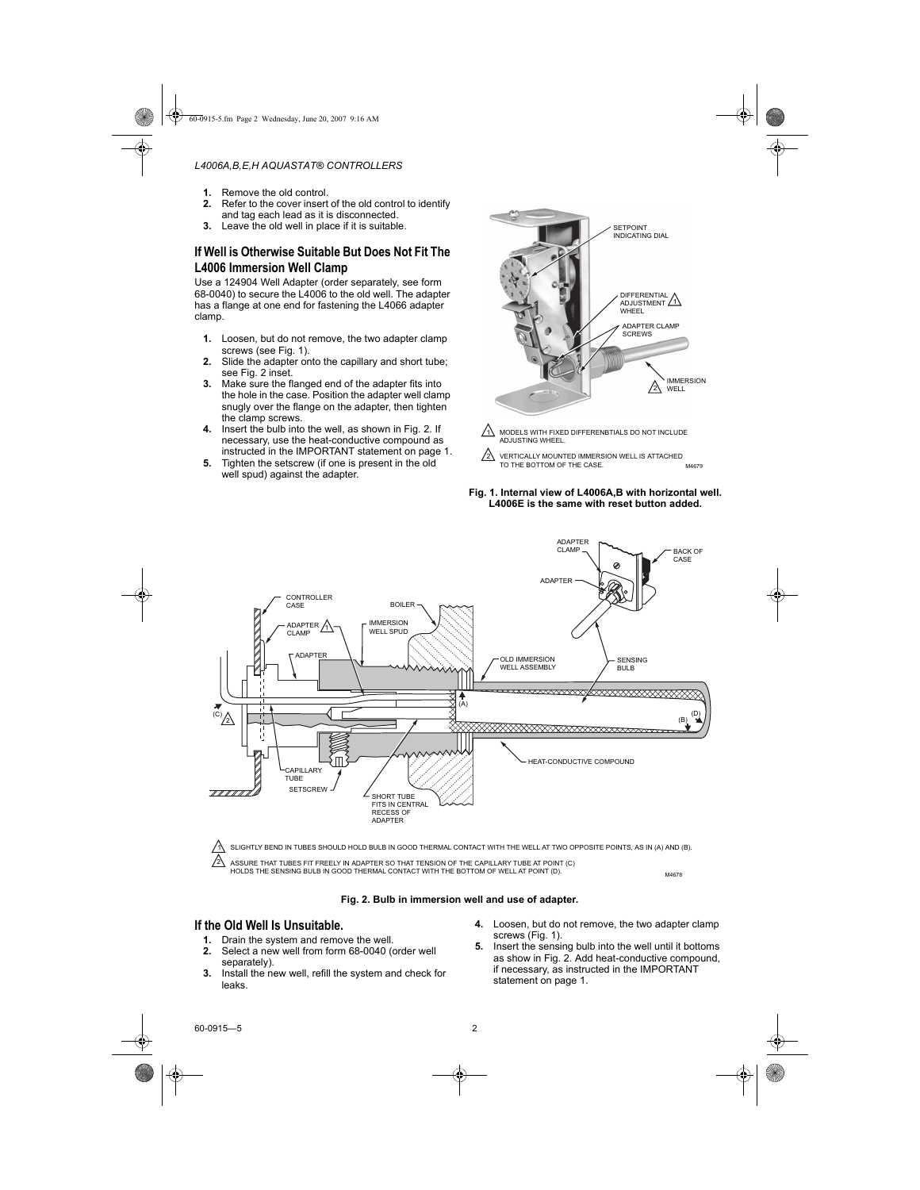- **1.** Remove the old control.
- **2.** Refer to the cover insert of the old control to identify and tag each lead as it is disconnected.
- **3.** Leave the old well in place if it is suitable.

#### **If Well is Otherwise Suitable But Does Not Fit The L4006 Immersion Well Clamp**

Use a 124904 Well Adapter (order separately, see form 68-0040) to secure the L4006 to the old well. The adapter has a flange at one end for fastening the L4066 adapter clamp.

- **1.** Loosen, but do not remove, the two adapter clamp screws (see Fig. 1).
- **2.** Slide the adapter onto the capillary and short tube; see Fig. 2 inset.
- **3.** Make sure the flanged end of the adapter fits into the hole in the case. Position the adapter well clamp snugly over the flange on the adapter, then tighten the clamp screws.
- **4.** Insert the bulb into the well, as shown in Fig. 2. If necessary, use the heat-conductive compound as instructed in the IMPORTANT statement on page 1.
- **5.** Tighten the setscrew (if one is present in the old well spud) against the adapter.



- MODELS WITH FIXED DIFFERENBTIALS DO NOT INCLUDE **ADJUSTING WHEEL.** 1
- M4679 VERTICALLY MOUNTED IMMERSION WELL IS ATTACHED TO THE BOTTOM OF THE CASE. ハ

#### **Fig. 1. Internal view of L4006A,B with horizontal well. L4006E is the same with reset button added.**

ADAPTER



SLIGHTLY BEND IN TUBES SHOULD HOLD BULB IN GOOD THERMAL CONTACT WITH THE WELL AT TWO OPPOSITE POINTS, AS IN (A) AND (B). ASSURE THAT TUBES FIT FREELY IN ADAPTER SO THAT TENSION OF THE CAPILLARY TUBE AT POINT (C)<br>HOLDS THE SENSING BULB IN GOOD THERMAL CONTACT WITH THE BOTTOM OF WELL AT POINT (D).

#### **Fig. 2. Bulb in immersion well and use of adapter.**

#### **If the Old Well Is Unsuitable.**

- **1.** Drain the system and remove the well.
- **2.** Select a new well from form 68-0040 (order well separately).
- **3.** Install the new well, refill the system and check for leaks.
- **4.** Loosen, but do not remove, the two adapter clamp screws (Fig. 1).
- **5.** Insert the sensing bulb into the well until it bottoms as show in Fig. 2. Add heat-conductive compound, if necessary, as instructed in the IMPORTANT statement on page 1.

2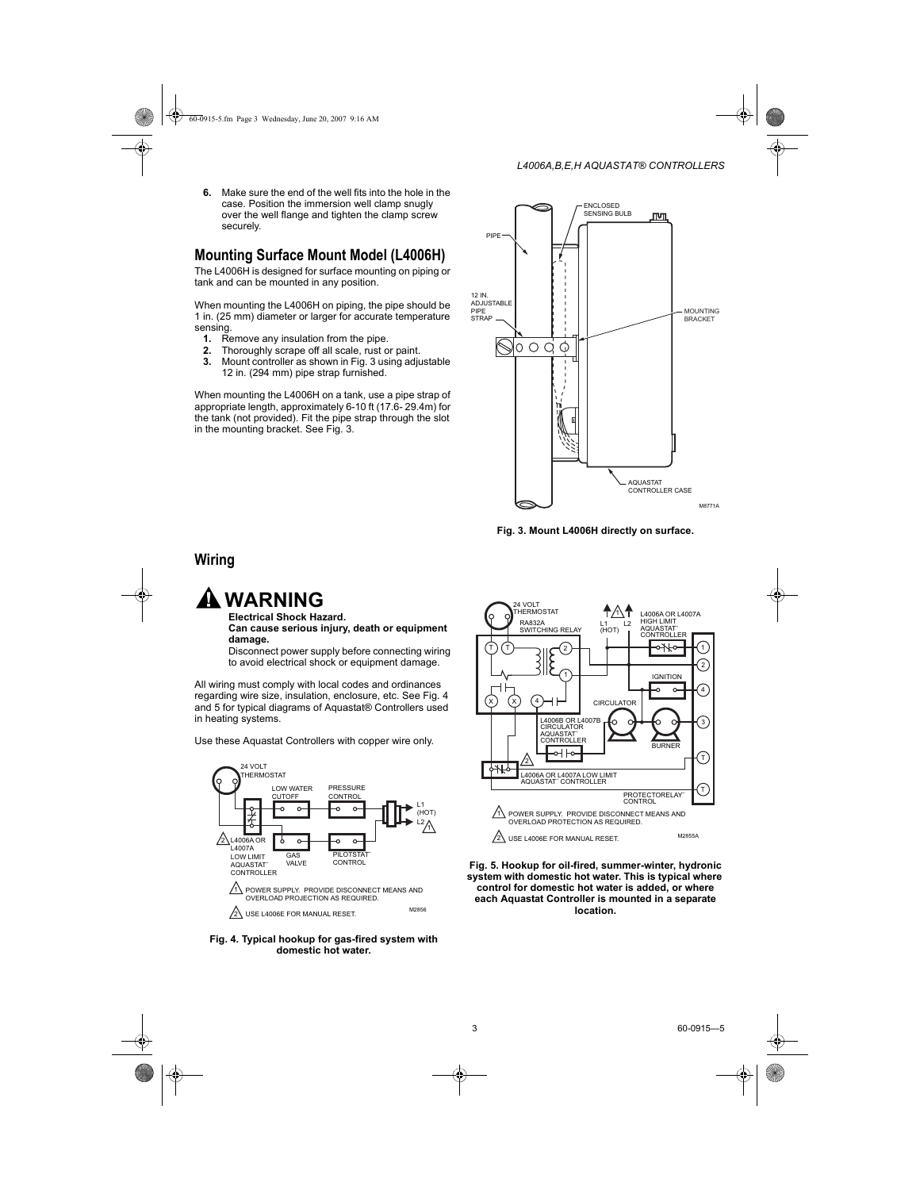**6.** Make sure the end of the well fits into the hole in the case. Position the immersion well clamp snugly over the well flange and tighten the clamp screw securely.

### **Mounting Surface Mount Model (L4006H)**

The L4006H is designed for surface mounting on piping or tank and can be mounted in any position.

When mounting the L4006H on piping, the pipe should be 1 in. (25 mm) diameter or larger for accurate temperature sensing.

- **1.** Remove any insulation from the pipe.
- **2.** Thoroughly scrape off all scale, rust or paint.
- **3.** Mount controller as shown in Fig. 3 using adjustable 12 in. (294 mm) pipe strap furnished.

When mounting the L4006H on a tank, use a pipe strap of appropriate length, approximately 6-10 ft (17.6- 29.4m) for the tank (not provided). Fit the pipe strap through the slot in the mounting bracket. See Fig. 3.



**Fig. 3. Mount L4006H directly on surface.**

#### **Wiring**

### **WARNING**

**Electrical Shock Hazard. Can cause serious injury, death or equipment damage.**

Disconnect power supply before connecting wiring to avoid electrical shock or equipment damage.

All wiring must comply with local codes and ordinances regarding wire size, insulation, enclosure, etc. See Fig. 4 and 5 for typical diagrams of Aquastat® Controllers used in heating systems.

Use these Aquastat Controllers with copper wire only.



**Fig. 4. Typical hookup for gas-fired system with domestic hot water.**



**Fig. 5. Hookup for oil-fired, summer-winter, hydronic system with domestic hot water. This is typical where control for domestic hot water is added, or where each Aquastat Controller is mounted in a separate location.**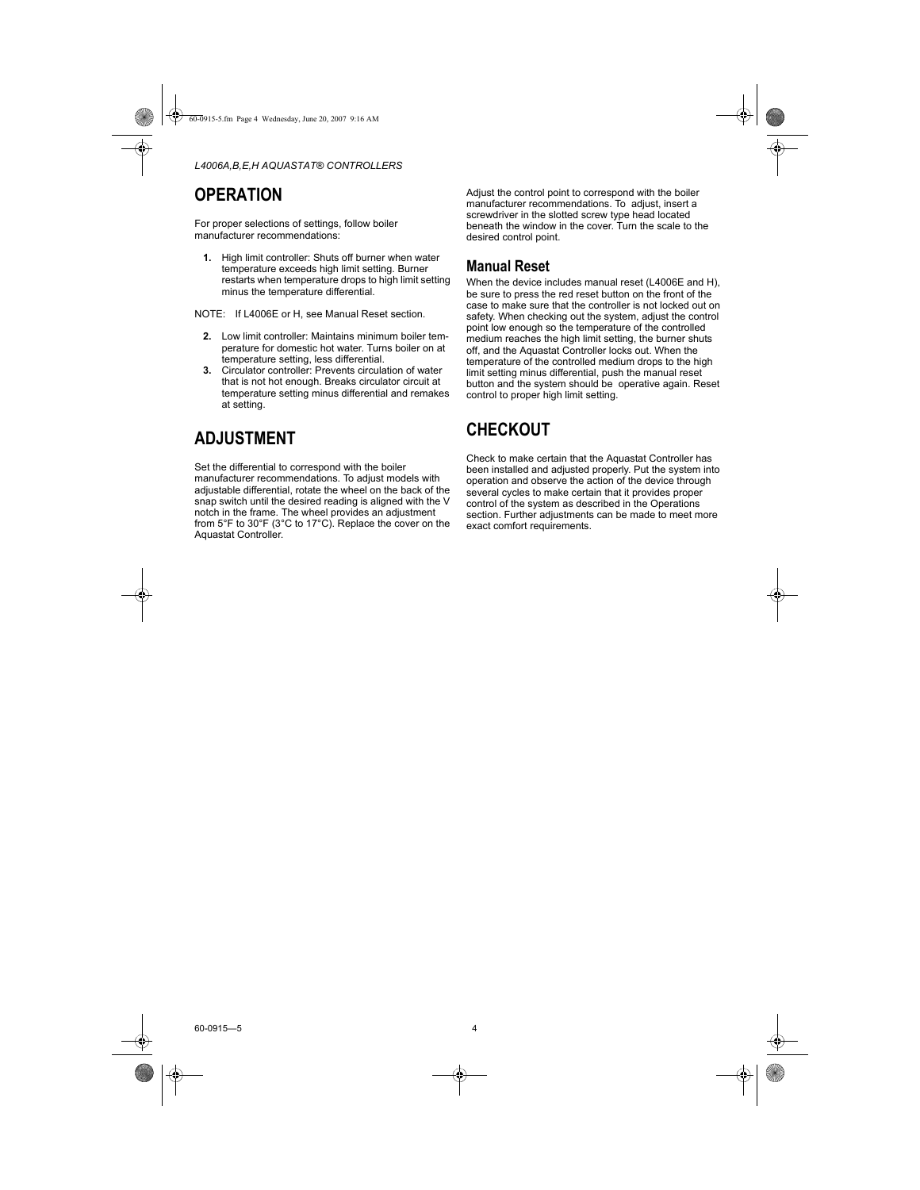### **OPERATION**

For proper selections of settings, follow boiler manufacturer recommendations:

**1.** High limit controller: Shuts off burner when water temperature exceeds high limit setting. Burner restarts when temperature drops to high limit setting minus the temperature differential.

NOTE: If L4006E or H, see Manual Reset section.

- **2.** Low limit controller: Maintains minimum boiler temperature for domestic hot water. Turns boiler on at temperature setting, less differential.
- **3.** Circulator controller: Prevents circulation of water that is not hot enough. Breaks circulator circuit at temperature setting minus differential and remakes at setting.

### **ADJUSTMENT**

Set the differential to correspond with the boiler manufacturer recommendations. To adjust models with adjustable differential, rotate the wheel on the back of the snap switch until the desired reading is aligned with the V notch in the frame. The wheel provides an adjustment from 5°F to 30°F (3°C to 17°C). Replace the cover on the Aquastat Controller.

Adjust the control point to correspond with the boiler manufacturer recommendations. To adjust, insert a screwdriver in the slotted screw type head located beneath the window in the cover. Turn the scale to the desired control point.

#### **Manual Reset**

When the device includes manual reset (L4006E and H), be sure to press the red reset button on the front of the case to make sure that the controller is not locked out on safety. When checking out the system, adjust the control point low enough so the temperature of the controlled medium reaches the high limit setting, the burner shuts off, and the Aquastat Controller locks out. When the temperature of the controlled medium drops to the high limit setting minus differential, push the manual reset button and the system should be operative again. Reset control to proper high limit setting.

### **CHECKOUT**

Check to make certain that the Aquastat Controller has been installed and adjusted properly. Put the system into operation and observe the action of the device through several cycles to make certain that it provides proper control of the system as described in the Operations section. Further adjustments can be made to meet more exact comfort requirements.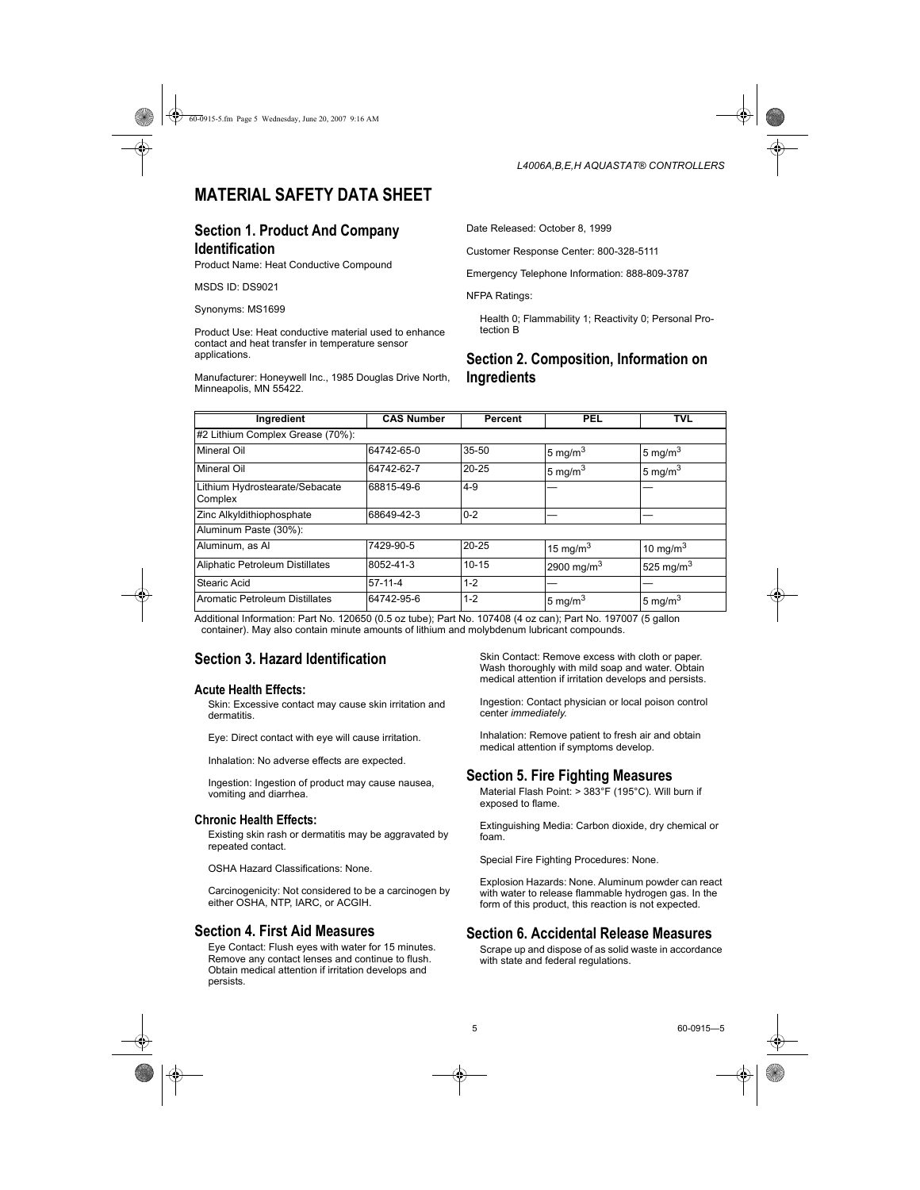### **MATERIAL SAFETY DATA SHEET**

#### **Section 1. Product And Company Identification**

Product Name: Heat Conductive Compound

MSDS ID: DS9021

Synonyms: MS1699

Product Use: Heat conductive material used to enhance contact and heat transfer in temperature sensor applications.

Manufacturer: Honeywell Inc., 1985 Douglas Drive North, Minneapolis, MN 55422.

Date Released: October 8, 1999

Customer Response Center: 800-328-5111

Emergency Telephone Information: 888-809-3787

NFPA Ratings:

Health 0; Flammability 1; Reactivity 0; Personal Protection B

#### **Section 2. Composition, Information on Ingredients**

| Ingredient                                | <b>CAS Number</b> | Percent   | PEL                    | TVL          |
|-------------------------------------------|-------------------|-----------|------------------------|--------------|
| #2 Lithium Complex Grease (70%):          |                   |           |                        |              |
| Mineral Oil                               | 64742-65-0        | $35 - 50$ | 5 mg/m $3$             | 5 mg/m $3$   |
| Mineral Oil                               | 64742-62-7        | $20 - 25$ | 5 mg/m <sup>3</sup>    | 5 mg/m $3$   |
| Lithium Hydrostearate/Sebacate<br>Complex | 68815-49-6        | $4 - 9$   |                        |              |
| Zinc Alkyldithiophosphate                 | 68649-42-3        | $0 - 2$   |                        |              |
| Aluminum Paste (30%):                     |                   |           |                        |              |
| Aluminum, as Al                           | 7429-90-5         | $20 - 25$ | 15 mg/m <sup>3</sup>   | 10 mg/m $3$  |
| Aliphatic Petroleum Distillates           | 8052-41-3         | $10 - 15$ | 2900 mg/m <sup>3</sup> | 525 mg/m $3$ |
| Stearic Acid                              | $57-11-4$         | $1 - 2$   |                        |              |
| Aromatic Petroleum Distillates            | 64742-95-6        | $1 - 2$   | 5 mg/m <sup>3</sup>    | 5 mg/m $3$   |

Additional Information: Part No. 120650 (0.5 oz tube); Part No. 107408 (4 oz can); Part No. 197007 (5 gallon container). May also contain minute amounts of lithium and molybdenum lubricant compounds.

#### **Section 3. Hazard Identification**

#### **Acute Health Effects:**

Skin: Excessive contact may cause skin irritation and dermatitis.

Eye: Direct contact with eye will cause irritation.

Inhalation: No adverse effects are expected.

Ingestion: Ingestion of product may cause nausea, vomiting and diarrhea.

#### **Chronic Health Effects:**

Existing skin rash or dermatitis may be aggravated by repeated contact.

OSHA Hazard Classifications: None.

Carcinogenicity: Not considered to be a carcinogen by either OSHA, NTP, IARC, or ACGIH.

#### **Section 4. First Aid Measures**

Eye Contact: Flush eyes with water for 15 minutes. Remove any contact lenses and continue to flush. Obtain medical attention if irritation develops and persists.

Skin Contact: Remove excess with cloth or paper. Wash thoroughly with mild soap and water. Obtain medical attention if irritation develops and persists.

Ingestion: Contact physician or local poison control center *immediately*.

Inhalation: Remove patient to fresh air and obtain medical attention if symptoms develop.

#### **Section 5. Fire Fighting Measures**

Material Flash Point: > 383°F (195°C). Will burn if exposed to flame.

Extinguishing Media: Carbon dioxide, dry chemical or foam.

Special Fire Fighting Procedures: None.

Explosion Hazards: None. Aluminum powder can react with water to release flammable hydrogen gas. In the form of this product, this reaction is not expected.

#### **Section 6. Accidental Release Measures**

Scrape up and dispose of as solid waste in accordance with state and federal regulations.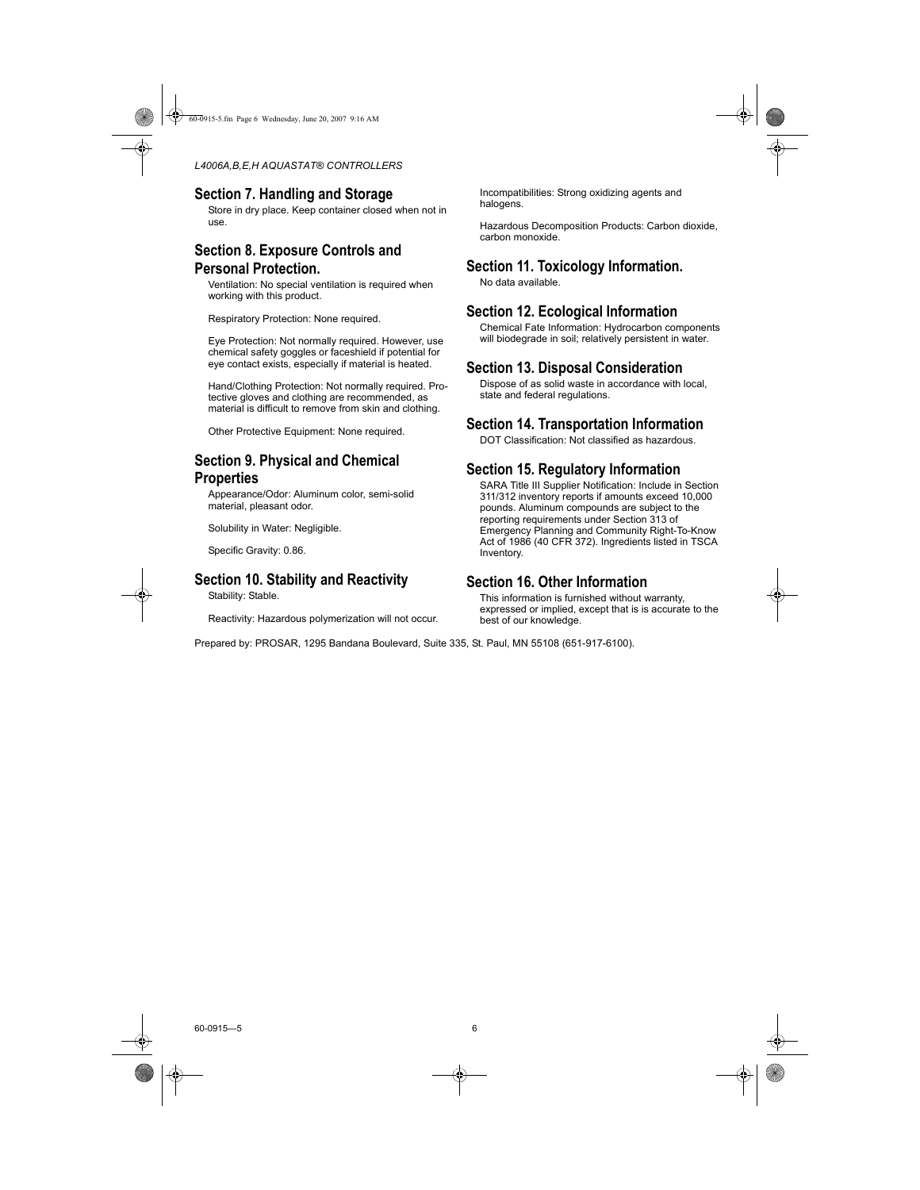#### **Section 7. Handling and Storage**

Store in dry place. Keep container closed when not in use.

#### **Section 8. Exposure Controls and Personal Protection.**

Ventilation: No special ventilation is required when working with this product.

Respiratory Protection: None required.

Eye Protection: Not normally required. However, use chemical safety goggles or faceshield if potential for eye contact exists, especially if material is heated.

Hand/Clothing Protection: Not normally required. Protective gloves and clothing are recommended, as material is difficult to remove from skin and clothing.

Other Protective Equipment: None required.

#### **Section 9. Physical and Chemical Properties**

Appearance/Odor: Aluminum color, semi-solid material, pleasant odor.

Solubility in Water: Negligible.

Specific Gravity: 0.86.

#### **Section 10. Stability and Reactivity**

Stability: Stable.

Reactivity: Hazardous polymerization will not occur.

Incompatibilities: Strong oxidizing agents and halogens.

Hazardous Decomposition Products: Carbon dioxide, carbon monoxide.

#### **Section 11. Toxicology Information.**

No data available.

#### **Section 12. Ecological Information**

Chemical Fate Information: Hydrocarbon components will biodegrade in soil; relatively persistent in water.

#### **Section 13. Disposal Consideration**

Dispose of as solid waste in accordance with local, state and federal regulations.

#### **Section 14. Transportation Information**

DOT Classification: Not classified as hazardous.

#### **Section 15. Regulatory Information**

SARA Title III Supplier Notification: Include in Section 311/312 inventory reports if amounts exceed 10,000 pounds. Aluminum compounds are subject to the reporting requirements under Section 313 of Emergency Planning and Community Right-To-Know Act of 1986 (40 CFR 372). Ingredients listed in TSCA Inventory.

#### **Section 16. Other Information**

This information is furnished without warranty, expressed or implied, except that is is accurate to the best of our knowledge.

Prepared by: PROSAR, 1295 Bandana Boulevard, Suite 335, St. Paul, MN 55108 (651-917-6100).